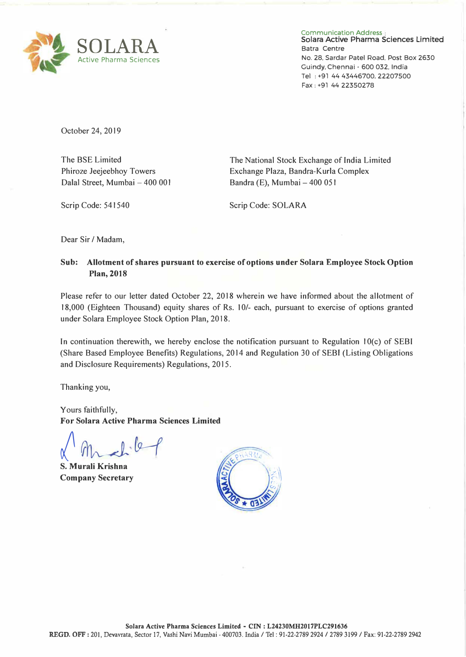

Communication **Address Sciara Active Pharma Sciences Limited**  Batra Centre No. 28. Sardar Patel Road. Post Box 2630 Guindy. Chennai - 600 032. India Tel : +91 44 43446700, 22207500 Fax: +91 44 22350278

October 24, 2019

The BSE Limited Phiroze Jeejeebhoy Towers Dalal Street, Mumbai - 400 001

The National Stock Exchange of India Limited Exchange Plaza, Bandra-Kurla Complex Bandra (E), Mumbai - 400 051

Scrip Code: 541540

Scrip Code: SOLARA

Dear Sir *I* Madam,

## **Sub: Allotment of shares pursuant to exercise of options under Solara Employee Stock Option Plan, 2018**

Please refer to our letter dated October 22, 2018 wherein we have informed about the allotment of 18,000 (Eighteen Thousand) equity shares of Rs. 10/- each, pursuant to exercise of options granted under Solara Employee Stock Option Plan, 2018.

In continuation therewith, we hereby enclose the notification pursuant to Regulation  $10(c)$  of SEBI (Share Based Employee Benefits) Regulations, 2014 and Regulation 30 of SEBI (Listing Obligations and Disclosure Requirements) Regulations, 2015.

Thanking you,

Yours faithfully, **For Solara Active Pharma Sciences Limited** 

*f�H*  **S. Murali Krishna**

**Company Secretary**

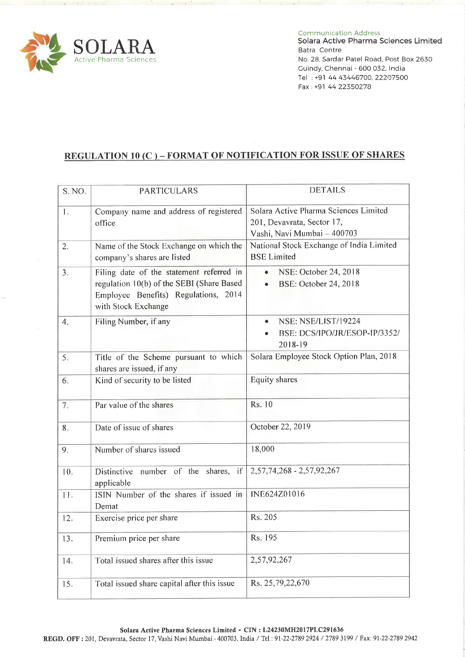

**Communication Address:** 

Solara Active Pharma Sciences Limited Batra Centre No. 28, Sardar Patel Road, Post Box 2630 Guindy, Chennai - 600 032, India Tel: +91 44 43446700, 22207500 Fax: +91 44 22350278

## **REGULATION 10 (C) - FORMAT OF NOTIFICATION FOR ISSUE OF SHARES**

| S. NO <sub>5</sub> | <b>PARTICULARS</b>                                                                                                                                   | <b>DETAILS</b>                                                                                     |
|--------------------|------------------------------------------------------------------------------------------------------------------------------------------------------|----------------------------------------------------------------------------------------------------|
| 1.                 | Company name and address of registered<br>office                                                                                                     | Solara Active Pharma Sciences Limited<br>201, Devavrata, Sector 17,<br>Vashi, Navi Mumbai - 400703 |
| 2.                 | Name of the Stock Exchange on which the<br>company's shares are listed                                                                               | National Stock Exchange of India Limited<br><b>BSE</b> Limited                                     |
| 3.                 | Filing date of the statement referred in<br>regulation 10(b) of the SEBI (Share Based<br>Employee Benefits) Regulations, 2014<br>with Stock Exchange | NSE: October 24, 2018<br>$\bullet$<br>BSE: October 24, 2018                                        |
| 4.                 | Filing Number, if any                                                                                                                                | NSE: NSE/LIST/19224<br>۰<br>BSE: DCS/IPO/JR/ESOP-IP/3352/<br>2018-19                               |
| 5:                 | Title of the Scheme pursuant to which<br>shares are issued, if any                                                                                   | Solara Employee Stock Option Plan, 2018                                                            |
| 6.                 | Kind of security to be listed                                                                                                                        | <b>Equity shares</b>                                                                               |
| 7.                 | Par value of the shares                                                                                                                              | Rs. 10                                                                                             |
| 8.                 | Date of issue of shares                                                                                                                              | October 22, 2019                                                                                   |
| 9.                 | Number of shares issued                                                                                                                              | 18,000                                                                                             |
| 10.                | Distinctive number of the shares,<br>if<br>applicable                                                                                                | 2,57,74,268 - 2,57,92,267                                                                          |
| 11 <sub>3</sub>    | ISIN Number of the shares if issued in<br>Demat                                                                                                      | INE624Z01016                                                                                       |
| 12.                | Exercise price per share                                                                                                                             | Rs. 205                                                                                            |
| 13.                | Premium price per share                                                                                                                              | Rs. 195                                                                                            |
| 14.                | Total issued shares after this issue                                                                                                                 | 2,57,92,267                                                                                        |
| 15.                | Total issued share capital after this issue                                                                                                          | Rs. 25,79,22,670                                                                                   |